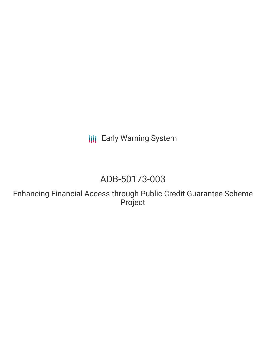**III** Early Warning System

# ADB-50173-003

Enhancing Financial Access through Public Credit Guarantee Scheme Project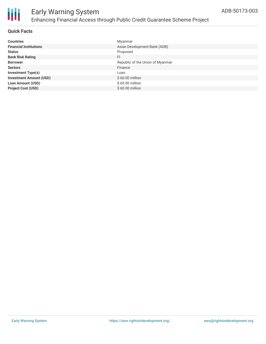

#### **Quick Facts**

| <b>Countries</b>               | Myanmar                          |
|--------------------------------|----------------------------------|
| <b>Financial Institutions</b>  | Asian Development Bank (ADB)     |
| <b>Status</b>                  | Proposed                         |
| <b>Bank Risk Rating</b>        | FI                               |
| <b>Borrower</b>                | Republic of the Union of Myanmar |
| <b>Sectors</b>                 | Finance                          |
| <b>Investment Type(s)</b>      | Loan                             |
| <b>Investment Amount (USD)</b> | $$60.00$ million                 |
| <b>Loan Amount (USD)</b>       | $$60.00$ million                 |
| <b>Project Cost (USD)</b>      | \$60.00 million                  |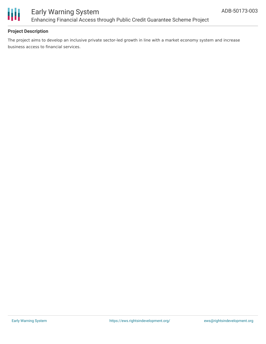

### Early Warning System Enhancing Financial Access through Public Credit Guarantee Scheme Project

#### **Project Description**

The project aims to develop an inclusive private sector-led growth in line with a market economy system and increase business access to financial services.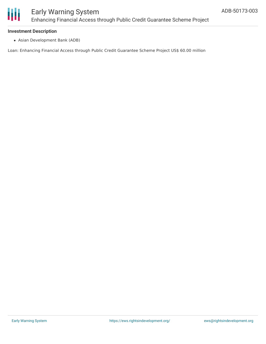

### Early Warning System Enhancing Financial Access through Public Credit Guarantee Scheme Project

#### **Investment Description**

Asian Development Bank (ADB)

Loan: Enhancing Financial Access through Public Credit Guarantee Scheme Project US\$ 60.00 million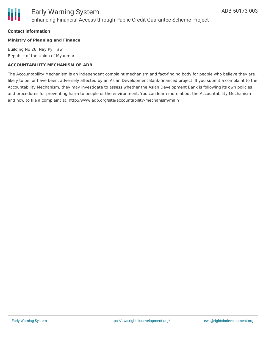

#### **Contact Information**

#### **Ministry of Planning and Finance**

Building No 26. Nay Pyi Taw Republic of the Union of Myanmar

#### **ACCOUNTABILITY MECHANISM OF ADB**

The Accountability Mechanism is an independent complaint mechanism and fact-finding body for people who believe they are likely to be, or have been, adversely affected by an Asian Development Bank-financed project. If you submit a complaint to the Accountability Mechanism, they may investigate to assess whether the Asian Development Bank is following its own policies and procedures for preventing harm to people or the environment. You can learn more about the Accountability Mechanism and how to file a complaint at: http://www.adb.org/site/accountability-mechanism/main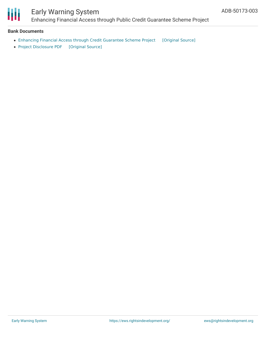

# Early Warning System

Enhancing Financial Access through Public Credit Guarantee Scheme Project

#### **Bank Documents**

- Enhancing Financial Access through Credit [Guarantee](https://ewsdata.rightsindevelopment.org/files/documents/03/ADB-50173-003_jQ7BdIK.pdf) Scheme Project [\[Original](https://www.adb.org/projects/documents/mya-50173-003-cp) Source]
- Project [Disclosure](https://ewsdata.rightsindevelopment.org/files/documents/03/ADB-50173-003.pdf) PDF [\[Original](https://www.adb.org/printpdf/projects/50173-003/main) Source]